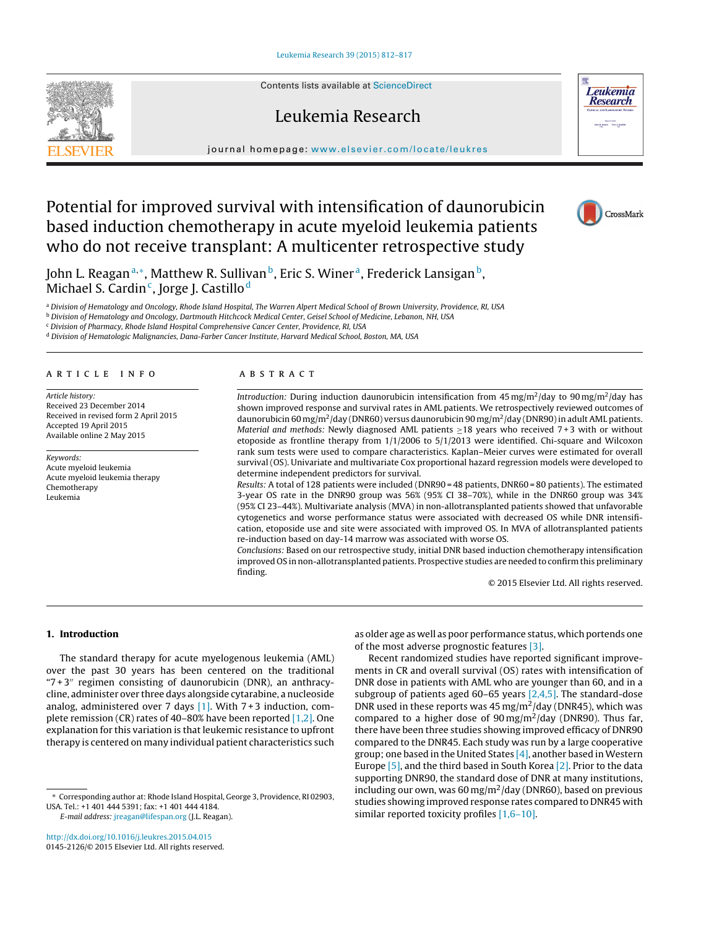Contents lists available at [ScienceDirect](http://www.sciencedirect.com/science/journal/01452126)

# Leukemia Research

journal homepage: [www.elsevier.com/locate/leukres](http://www.elsevier.com/locate/leukres)

# Potential for improved survival with intensification of daunorubicin based induction chemotherapy in acute myeloid leukemia patients who do not receive transplant: A multicenter retrospective study

John L. Reagan<sup>a,∗</sup>, Matthew R. Sullivan<sup>b</sup>, Eric S. Winer<sup>a</sup>, Frederick Lansigan<sup>b</sup>, Michael S. Cardin<sup>c</sup>, Jorge J. Castillo<sup>d</sup>

a Division of Hematology and Oncology, Rhode Island Hospital, The Warren Alpert Medical School of Brown University, Providence, RI, USA

**b Division of Hematology and Oncology, Dartmouth Hitchcock Medical Center, Geisel School of Medicine, Lebanon, NH, USA** 

<sup>c</sup> Division of Pharmacy, Rhode Island Hospital Comprehensive Cancer Center, Providence, RI, USA

<sup>d</sup> Division of Hematologic Malignancies, Dana-Farber Cancer Institute, Harvard Medical School, Boston, MA, USA

#### a r t i c l e i n f o

Article history: Received 23 December 2014 Received in revised form 2 April 2015 Accepted 19 April 2015 Available online 2 May 2015

Keywords: Acute myeloid leukemia Acute myeloid leukemia therapy Chemotherapy Leukemia

#### A B S T R A C T

Introduction: During induction daunorubicin intensification from 45 mg/m<sup>2</sup>/day to 90 mg/m<sup>2</sup>/day has shown improved response and survival rates in AML patients. We retrospectively reviewed outcomes of daunorubicin 60 mg/m<sup>2</sup>/day (DNR60) versus daunorubicin 90 mg/m<sup>2</sup>/day (DNR90) in adult AML patients. Material and methods: Newly diagnosed AML patients  $\geq$ 18 years who received 7+3 with or without etoposide as frontline therapy from 1/1/2006 to 5/1/2013 were identified. Chi-square and Wilcoxon rank sum tests were used to compare characteristics. Kaplan–Meier curves were estimated for overall survival (OS). Univariate and multivariate Cox proportional hazard regression models were developed to determine independent predictors for survival.

Results: A total of 128 patients were included (DNR90 = 48 patients, DNR60 = 80 patients). The estimated 3-year OS rate in the DNR90 group was 56% (95% CI 38–70%), while in the DNR60 group was 34% (95% CI 23–44%). Multivariate analysis (MVA) in non-allotransplanted patients showed that unfavorable cytogenetics and worse performance status were associated with decreased OS while DNR intensification, etoposide use and site were associated with improved OS. In MVA of allotransplanted patients re-induction based on day-14 marrow was associated with worse OS.

Conclusions: Based on our retrospective study, initial DNR based induction chemotherapy intensification improved OS in non-allotransplanted patients. Prospective studies are needed to confirm this preliminary finding.

© 2015 Elsevier Ltd. All rights reserved.

## **1. Introduction**

The standard therapy for acute myelogenous leukemia (AML) over the past 30 years has been centered on the traditional " $7 + 3$ " regimen consisting of daunorubicin (DNR), an anthracycline, administer over three days alongside cytarabine, a nucleoside analog, administered over 7 days  $[1]$ . With 7+3 induction, complete remission (CR) rates of 40–80% have been reported [\[1,2\].](#page-5-0) One explanation for this variation is that leukemic resistance to upfront therapy is centered on many individual patient characteristics such

E-mail address: [jreagan@lifespan.org](mailto:jreagan@lifespan.org) (J.L. Reagan).

[http://dx.doi.org/10.1016/j.leukres.2015.04.015](dx.doi.org/10.1016/j.leukres.2015.04.015) 0145-2126/© 2015 Elsevier Ltd. All rights reserved. as older age as well as poor performance status, which portends one of the most adverse prognostic features [\[3\].](#page-5-0)

Recent randomized studies have reported significant improvements in CR and overall survival (OS) rates with intensification of DNR dose in patients with AML who are younger than 60, and in a subgroup of patients aged 60–65 years [\[2,4,5\].](#page-5-0) The standard-dose DNR used in these reports was 45 mg/m<sup>2</sup>/day (DNR45), which was compared to a higher dose of  $90 \,\text{mg/m}^2/\text{day}$  (DNR90). Thus far, there have been three studies showing improved efficacy of DNR90 compared to the DNR45. Each study was run by a large cooperative group; one based in the United States  $[4]$ , another based in Western Europe  $[5]$ , and the third based in South Korea  $[2]$ . Prior to the data supporting DNR90, the standard dose of DNR at many institutions, including our own, was 60 mg/m<sup>2</sup>/day (DNR60), based on previous studies showing improved response rates compared to DNR45 with similar reported toxicity profiles [\[1,6–10\].](#page-5-0)







<sup>∗</sup> Corresponding author at: Rhode Island Hospital, George 3, Providence, RI 02903, USA. Tel.: +1 401 444 5391; fax: +1 401 444 4184.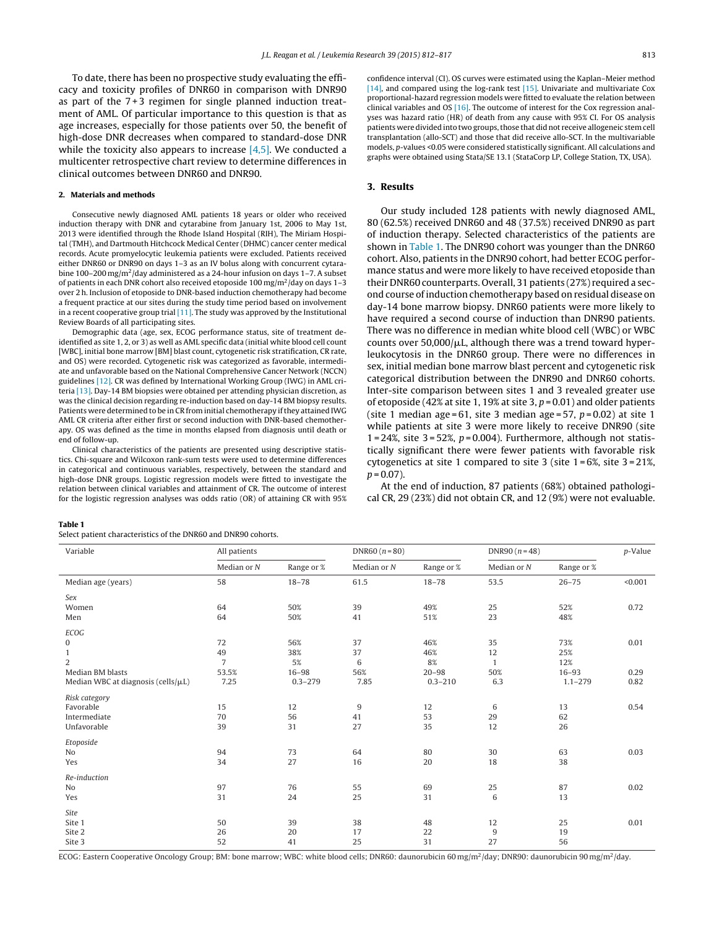To date, there has been no prospective study evaluating the efficacy and toxicity profiles of DNR60 in comparison with DNR90 as part of the 7 + 3 regimen for single planned induction treatment of AML. Of particular importance to this question is that as age increases, especially for those patients over 50, the benefit of high-dose DNR decreases when compared to standard-dose DNR while the toxicity also appears to increase  $[4,5]$ . We conducted a multicenter retrospective chart review to determine differences in clinical outcomes between DNR60 and DNR90.

## **2. Materials and methods**

Consecutive newly diagnosed AML patients 18 years or older who received induction therapy with DNR and cytarabine from January 1st, 2006 to May 1st, 2013 were identified through the Rhode Island Hospital (RIH), The Miriam Hospital (TMH), and Dartmouth Hitchcock Medical Center (DHMC) cancer center medical records. Acute promyelocytic leukemia patients were excluded. Patients received either DNR60 or DNR90 on days 1–3 as an IV bolus along with concurrent cytarabine 100–200 mg/m<sup>2</sup>/day administered as a 24-hour infusion on days 1–7. A subset of patients in each DNR cohort also received etoposide 100  $\text{mg/m}^2/\text{day}$  on days 1-3 over 2 h. Inclusion of etoposide to DNR-based induction chemotherapy had become a frequent practice at our sites during the study time period based on involvement in a recent cooperative group trial  $[11]$ . The study was approved by the Institutional Review Boards of all participating sites.

Demographic data (age, sex, ECOG performance status, site of treatment deidentified as site 1, 2, or 3) as well as AML specific data (initial white blood cell count [WBC], initial bone marrow [BM] blast count, cytogenetic risk stratification, CR rate, and OS) were recorded. Cytogenetic risk was categorized as favorable, intermediate and unfavorable based on the National Comprehensive Cancer Network (NCCN) guidelines [\[12\].](#page-5-0) CR was defined by International Working Group (IWG) in AML criteria [\[13\].](#page-5-0) Day-14 BM biopsies were obtained per attending physician discretion, as was the clinical decision regarding re-induction based on day-14 BM biopsy results. Patients were determined to be in CR from initial chemotherapy ifthey attained IWG AML CR criteria after either first or second induction with DNR-based chemotherapy. OS was defined as the time in months elapsed from diagnosis until death or end of follow-up.

Clinical characteristics of the patients are presented using descriptive statistics. Chi-square and Wilcoxon rank-sum tests were used to determine differences in categorical and continuous variables, respectively, between the standard and high-dose DNR groups. Logistic regression models were fitted to investigate the relation between clinical variables and attainment of CR. The outcome of interest for the logistic regression analyses was odds ratio (OR) of attaining CR with 95%

confidence interval (CI). OS curves were estimated using the Kaplan–Meier method [\[14\],](#page-5-0) and compared using the log-rank test [\[15\].](#page-5-0) Univariate and multivariate Cox proportional-hazard regression models were fitted to evaluate the relation between clinical variables and OS  $[16]$ . The outcome of interest for the Cox regression analyses was hazard ratio (HR) of death from any cause with 95% CI. For OS analysis patients were divided into two groups, those that did not receive allogeneic stem cell transplantation (allo-SCT) and those that did receive allo-SCT. In the multivariable models, p-values <0.05 were considered statistically significant. All calculations and graphs were obtained using Stata/SE 13.1 (StataCorp LP, College Station, TX, USA).

## **3. Results**

Our study included 128 patients with newly diagnosed AML, 80 (62.5%) received DNR60 and 48 (37.5%) received DNR90 as part of induction therapy. Selected characteristics of the patients are shown in Table 1. The DNR90 cohort was younger than the DNR60 cohort. Also, patients in the DNR90 cohort, had better ECOG performance status and were more likely to have received etoposide than their DNR60 counterparts. Overall, 31 patients (27%) required a second course ofinduction chemotherapy based on residual disease on day-14 bone marrow biopsy. DNR60 patients were more likely to have required a second course of induction than DNR90 patients. There was no difference in median white blood cell (WBC) or WBC counts over  $50,000/\mu L$ , although there was a trend toward hyperleukocytosis in the DNR60 group. There were no differences in sex, initial median bone marrow blast percent and cytogenetic risk categorical distribution between the DNR90 and DNR60 cohorts. Inter-site comparison between sites 1 and 3 revealed greater use of etoposide (42% at site 1, 19% at site 3,  $p = 0.01$ ) and older patients (site 1 median age = 61, site 3 median age = 57,  $p = 0.02$ ) at site 1 while patients at site 3 were more likely to receive DNR90 (site 1 = 24%, site  $3 = 52\%$ ,  $p = 0.004$ ). Furthermore, although not statistically significant there were fewer patients with favorable risk cytogenetics at site 1 compared to site 3 (site 1 = 6%, site 3 = 21%,  $p = 0.07$ ).

At the end of induction, 87 patients (68%) obtained pathological CR, 29 (23%) did not obtain CR, and 12 (9%) were not evaluable.

## **Table 1**

 $\mathbf{S}$  set at  $\mathbf{S}$  at a set of the DNRC0 and DNR00 cohorts.

| Variable                                 | All patients   |             | $DNR60 (n = 80)$ |             | DNR90 $(n=48)$ |             | $p$ -Value |
|------------------------------------------|----------------|-------------|------------------|-------------|----------------|-------------|------------|
|                                          | Median or $N$  | Range or %  | Median or $N$    | Range or %  | Median or $N$  | Range or %  |            |
| Median age (years)                       | 58             | $18 - 78$   | 61.5             | $18 - 78$   | 53.5           | $26 - 75$   | < 0.001    |
| Sex                                      |                |             |                  |             |                |             |            |
| Women                                    | 64             | 50%         | 39               | 49%         | 25             | 52%         | 0.72       |
| Men                                      | 64             | 50%         | 41               | 51%         | 23             | 48%         |            |
| ECOG                                     |                |             |                  |             |                |             |            |
| $\bf{0}$                                 | 72             | 56%         | 37               | 46%         | 35             | 73%         | 0.01       |
| $\mathbf{1}$                             | 49             | 38%         | 37               | 46%         | 12             | 25%         |            |
| $\overline{2}$                           | $\overline{7}$ | 5%          | 6                | 8%          | $\mathbf{1}$   | 12%         |            |
| Median BM blasts                         | 53.5%          | $16 - 98$   | 56%              | $20 - 98$   | 50%            | $16 - 93$   | 0.29       |
| Median WBC at diagnosis (cells/ $\mu$ L) | 7.25           | $0.3 - 279$ | 7.85             | $0.3 - 210$ | 6.3            | $1.1 - 279$ | 0.82       |
| Risk category                            |                |             |                  |             |                |             |            |
| Favorable                                | 15             | 12          | $9$              | 12          | 6              | 13          | 0.54       |
| Intermediate                             | 70             | 56          | 41               | 53          | 29             | 62          |            |
| Unfavorable                              | 39             | 31          | 27               | 35          | 12             | 26          |            |
| Etoposide                                |                |             |                  |             |                |             |            |
| No                                       | 94             | 73          | 64               | 80          | 30             | 63          | 0.03       |
| Yes                                      | 34             | 27          | 16               | 20          | 18             | 38          |            |
| Re-induction                             |                |             |                  |             |                |             |            |
| No                                       | 97             | 76          | 55               | 69          | 25             | 87          | 0.02       |
| Yes                                      | 31             | 24          | 25               | 31          | 6              | 13          |            |
| Site                                     |                |             |                  |             |                |             |            |
| Site 1                                   | 50             | 39          | 38               | 48          | 12             | 25          | 0.01       |
| Site 2                                   | 26             | 20          | 17               | 22          | 9              | 19          |            |
| Site 3                                   | 52             | 41          | 25               | 31          | 27             | 56          |            |

ECOG: Eastern Cooperative Oncology Group; BM: bone marrow; WBC: white blood cells: DNR60: daunorubicin 60 mg/m<sup>2</sup>/day; DNR90: daunorubicin 90 mg/m<sup>2</sup>/day.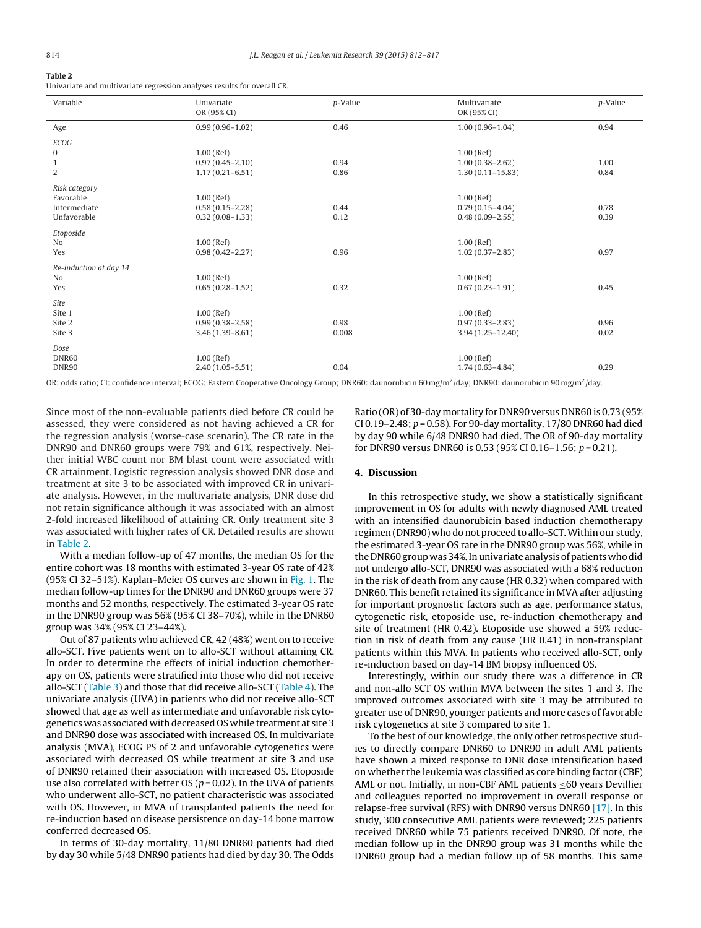## **Table 2**

Univariate and multivariate regression analyses results for overall CR.

| Variable               | Univariate<br>OR (95% CI) | $p$ -Value | Multivariate<br>OR (95% CI) | $p$ -Value |
|------------------------|---------------------------|------------|-----------------------------|------------|
| Age                    | $0.99(0.96 - 1.02)$       | 0.46       | $1.00(0.96 - 1.04)$         | 0.94       |
| <b>ECOG</b>            |                           |            |                             |            |
| $\bf{0}$               | $1.00$ (Ref)              |            | $1.00$ (Ref)                |            |
| $\mathbf{1}$           | $0.97(0.45 - 2.10)$       | 0.94       | $1.00(0.38 - 2.62)$         | 1.00       |
| 2                      | $1.17(0.21 - 6.51)$       | 0.86       | $1.30(0.11 - 15.83)$        | 0.84       |
| Risk category          |                           |            |                             |            |
| Favorable              | $1.00$ (Ref)              |            | $1.00$ (Ref)                |            |
| Intermediate           | $0.58(0.15 - 2.28)$       | 0.44       | $0.79(0.15 - 4.04)$         | 0.78       |
| Unfavorable            | $0.32(0.08 - 1.33)$       | 0.12       | $0.48(0.09 - 2.55)$         | 0.39       |
| Etoposide              |                           |            |                             |            |
| N <sub>o</sub>         | $1.00$ (Ref)              |            | $1.00$ (Ref)                |            |
| Yes                    | $0.98(0.42 - 2.27)$       | 0.96       | $1.02(0.37 - 2.83)$         | 0.97       |
| Re-induction at day 14 |                           |            |                             |            |
| N <sub>0</sub>         | $1.00$ (Ref)              |            | $1.00$ (Ref)                |            |
| Yes                    | $0.65(0.28 - 1.52)$       | 0.32       | $0.67(0.23 - 1.91)$         | 0.45       |
| Site                   |                           |            |                             |            |
| Site 1                 | $1.00$ (Ref)              |            | $1.00$ (Ref)                |            |
| Site 2                 | $0.99(0.38 - 2.58)$       | 0.98       | $0.97(0.33 - 2.83)$         | 0.96       |
| Site 3                 | $3.46(1.39 - 8.61)$       | 0.008      | $3.94(1.25 - 12.40)$        | 0.02       |
| Dose                   |                           |            |                             |            |
| DNR60                  | $1.00$ (Ref)              |            | $1.00$ (Ref)                |            |
| DNR90                  | $2.40(1.05 - 5.51)$       | 0.04       | $1.74(0.63 - 4.84)$         | 0.29       |

OR: odds ratio; CI: confidence interval; ECOG: Eastern Cooperative Oncology Group; DNR60: daunorubicin 60 mg/m<sup>2</sup>/day. DNR90: daunorubicin 90 mg/m<sup>2</sup>/day.

Since most of the non-evaluable patients died before CR could be assessed, they were considered as not having achieved a CR for the regression analysis (worse-case scenario). The CR rate in the DNR90 and DNR60 groups were 79% and 61%, respectively. Neither initial WBC count nor BM blast count were associated with CR attainment. Logistic regression analysis showed DNR dose and treatment at site 3 to be associated with improved CR in univariate analysis. However, in the multivariate analysis, DNR dose did not retain significance although it was associated with an almost 2-fold increased likelihood of attaining CR. Only treatment site 3 was associated with higher rates of CR. Detailed results are shown in Table 2.

With a median follow-up of 47 months, the median OS for the entire cohort was 18 months with estimated 3-year OS rate of 42% (95% CI 32–51%). Kaplan–Meier OS curves are shown in [Fig.](#page-3-0) 1. The median follow-up times for the DNR90 and DNR60 groups were 37 months and 52 months, respectively. The estimated 3-year OS rate in the DNR90 group was 56% (95% CI 38–70%), while in the DNR60 group was 34% (95% CI 23–44%).

Out of 87 patients who achieved CR, 42 (48%) went on to receive allo-SCT. Five patients went on to allo-SCT without attaining CR. In order to determine the effects of initial induction chemotherapy on OS, patients were stratified into those who did not receive allo-SCT [\(Table](#page-3-0) 3) and those that did receive allo-SCT ([Table](#page-4-0) 4). The univariate analysis (UVA) in patients who did not receive allo-SCT showed that age as well as intermediate and unfavorable risk cytogenetics was associated with decreased OS while treatment at site 3 and DNR90 dose was associated with increased OS. In multivariate analysis (MVA), ECOG PS of 2 and unfavorable cytogenetics were associated with decreased OS while treatment at site 3 and use of DNR90 retained their association with increased OS. Etoposide use also correlated with better OS ( $p = 0.02$ ). In the UVA of patients who underwent allo-SCT, no patient characteristic was associated with OS. However, in MVA of transplanted patients the need for re-induction based on disease persistence on day-14 bone marrow conferred decreased OS.

In terms of 30-day mortality, 11/80 DNR60 patients had died by day 30 while 5/48 DNR90 patients had died by day 30. The Odds

Ratio (OR) of 30-day mortality for DNR90 versus DNR60 is 0.73 (95% CI 0.19–2.48;  $p = 0.58$ ). For 90-day mortality, 17/80 DNR60 had died by day 90 while 6/48 DNR90 had died. The OR of 90-day mortality for DNR90 versus DNR60 is 0.53 (95% CI 0.16-1.56;  $p = 0.21$ ).

#### **4. Discussion**

In this retrospective study, we show a statistically significant improvement in OS for adults with newly diagnosed AML treated with an intensified daunorubicin based induction chemotherapy regimen (DNR90) who do not proceed to allo-SCT.Within our study, the estimated 3-year OS rate in the DNR90 group was 56%, while in the DNR60 group was 34%. In univariate analysis of patients who did not undergo allo-SCT, DNR90 was associated with a 68% reduction in the risk of death from any cause (HR 0.32) when compared with DNR60. This benefit retained its significance in MVA after adjusting for important prognostic factors such as age, performance status, cytogenetic risk, etoposide use, re-induction chemotherapy and site of treatment (HR 0.42). Etoposide use showed a 59% reduction in risk of death from any cause (HR 0.41) in non-transplant patients within this MVA. In patients who received allo-SCT, only re-induction based on day-14 BM biopsy influenced OS.

Interestingly, within our study there was a difference in CR and non-allo SCT OS within MVA between the sites 1 and 3. The improved outcomes associated with site 3 may be attributed to greater use of DNR90, younger patients and more cases of favorable risk cytogenetics at site 3 compared to site 1.

To the best of our knowledge, the only other retrospective studies to directly compare DNR60 to DNR90 in adult AML patients have shown a mixed response to DNR dose intensification based on whether the leukemia was classified as core binding factor (CBF) AML or not. Initially, in non-CBF AML patients ≤60 years Devillier and colleagues reported no improvement in overall response or relapse-free survival (RFS) with DNR90 versus DNR60 [\[17\].](#page-5-0) In this study, 300 consecutive AML patients were reviewed; 225 patients received DNR60 while 75 patients received DNR90. Of note, the median follow up in the DNR90 group was 31 months while the DNR60 group had a median follow up of 58 months. This same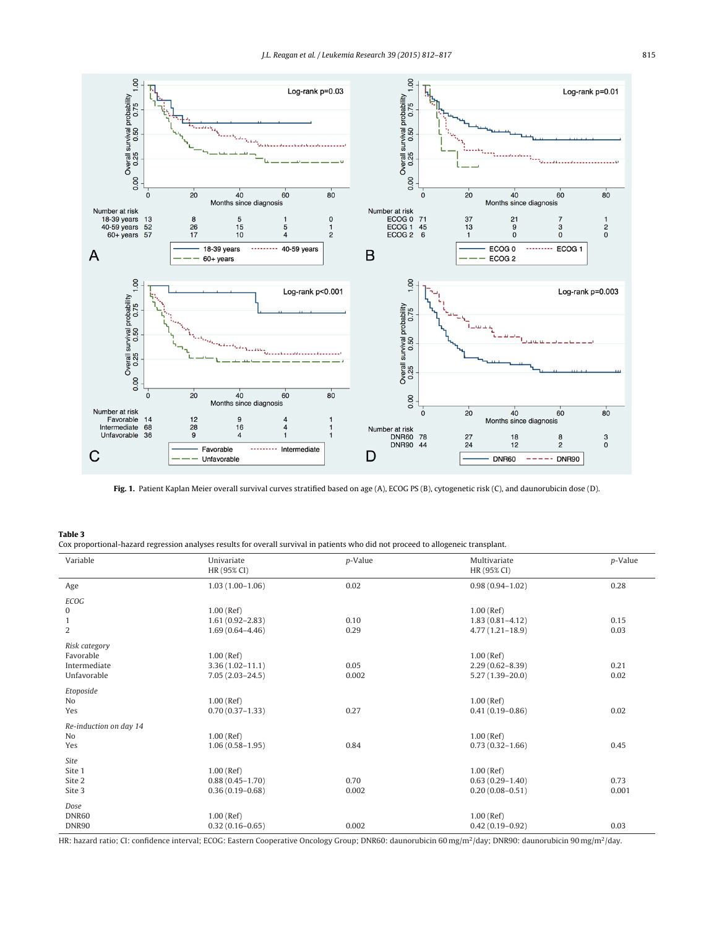<span id="page-3-0"></span>

**Fig. 1.** Patient Kaplan Meier overall survival curves stratified based on age (A), ECOG PS (B), cytogenetic risk (C), and daunorubicin dose (D).

## **Table 3**

|  | Cox proportional-hazard regression analyses results for overall survival in patients who did not proceed to allogeneic transplant. |  |  |  |  |  |
|--|------------------------------------------------------------------------------------------------------------------------------------|--|--|--|--|--|
|  |                                                                                                                                    |  |  |  |  |  |

| Variable               | Univariate<br>HR (95% CI) | p-Value | Multivariate<br>HR (95% CI) | p-Value |
|------------------------|---------------------------|---------|-----------------------------|---------|
| Age                    | $1.03(1.00-1.06)$         | 0.02    | $0.98(0.94 - 1.02)$         | 0.28    |
| <b>ECOG</b>            |                           |         |                             |         |
| 0                      | $1.00$ (Ref)              |         | $1.00$ (Ref)                |         |
| $\mathbf{1}$           | $1.61(0.92 - 2.83)$       | 0.10    | $1.83(0.81 - 4.12)$         | 0.15    |
| 2                      | $1.69(0.64 - 4.46)$       | 0.29    | $4.77(1.21 - 18.9)$         | 0.03    |
| Risk category          |                           |         |                             |         |
| Favorable              | $1.00$ (Ref)              |         | $1.00$ (Ref)                |         |
| Intermediate           | $3.36(1.02 - 11.1)$       | 0.05    | $2.29(0.62 - 8.39)$         | 0.21    |
| Unfavorable            | $7.05(2.03 - 24.5)$       | 0.002   | $5.27(1.39 - 20.0)$         | 0.02    |
| Etoposide              |                           |         |                             |         |
| No                     | $1.00$ (Ref)              |         | $1.00$ (Ref)                |         |
| Yes                    | $0.70(0.37 - 1.33)$       | 0.27    | $0.41(0.19 - 0.86)$         | 0.02    |
| Re-induction on day 14 |                           |         |                             |         |
| N <sub>o</sub>         | $1.00$ (Ref)              |         | $1.00$ (Ref)                |         |
| Yes                    | $1.06(0.58 - 1.95)$       | 0.84    | $0.73(0.32 - 1.66)$         | 0.45    |
| <b>Site</b>            |                           |         |                             |         |
| Site 1                 | $1.00$ (Ref)              |         | $1.00$ (Ref)                |         |
| Site 2                 | $0.88(0.45 - 1.70)$       | 0.70    | $0.63(0.29 - 1.40)$         | 0.73    |
| Site 3                 | $0.36(0.19 - 0.68)$       | 0.002   | $0.20(0.08 - 0.51)$         | 0.001   |
| Dose                   |                           |         |                             |         |
| DNR60                  | $1.00$ (Ref)              |         | $1.00$ (Ref)                |         |
| DNR90                  | $0.32(0.16 - 0.65)$       | 0.002   | $0.42(0.19 - 0.92)$         | 0.03    |

HR: hazard ratio; CI: confidence interval; ECOG: Eastern Cooperative Oncology Group; DNR60: daunorubicin 60 mg/m2/day; DNR90: daunorubicin 90 mg/m2/day.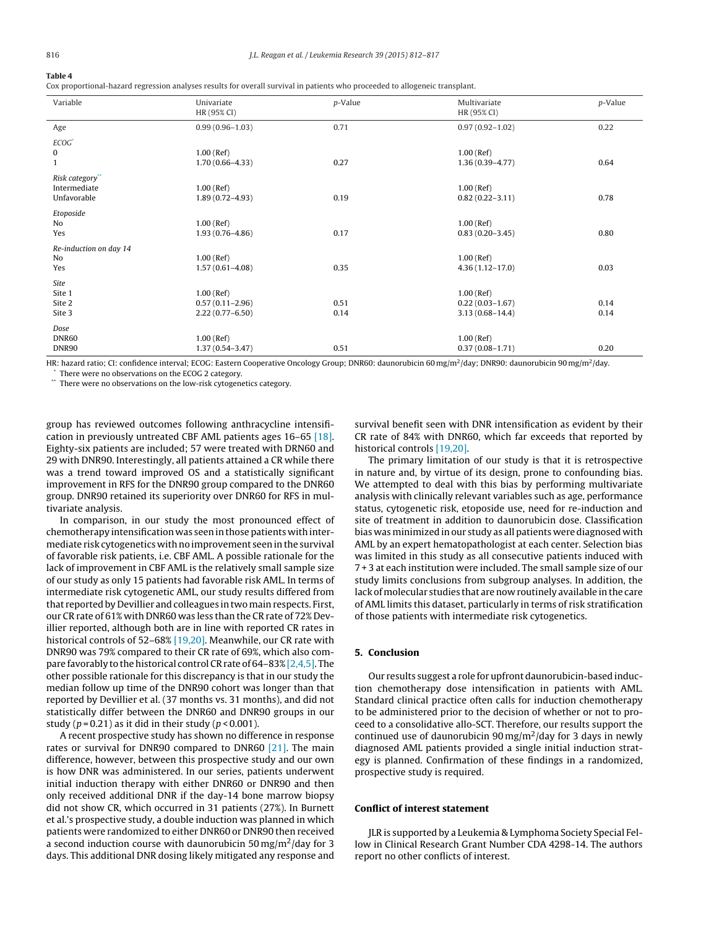## <span id="page-4-0"></span>**Table 4**

Cox proportional-hazard regression analyses results for overall survival in patients who proceeded to allogeneic transplant.

| Variable               | Univariate<br>HR (95% CI) | p-Value | Multivariate<br>HR (95% CI) | p-Value |
|------------------------|---------------------------|---------|-----------------------------|---------|
| Age                    | $0.99(0.96 - 1.03)$       | 0.71    | $0.97(0.92 - 1.02)$         | 0.22    |
| $ECOG*$                |                           |         |                             |         |
| $\bf{0}$               | $1.00$ (Ref)              |         | $1.00$ (Ref)                |         |
| $\mathbf{1}$           | $1.70(0.66 - 4.33)$       | 0.27    | $1.36(0.39 - 4.77)$         | 0.64    |
| Risk category"         |                           |         |                             |         |
| Intermediate           | $1.00$ (Ref)              |         | $1.00$ (Ref)                |         |
| Unfavorable            | $1.89(0.72 - 4.93)$       | 0.19    | $0.82(0.22 - 3.11)$         | 0.78    |
| Etoposide              |                           |         |                             |         |
| No                     | $1.00$ (Ref)              |         | $1.00$ (Ref)                |         |
| Yes                    | $1.93(0.76 - 4.86)$       | 0.17    | $0.83(0.20 - 3.45)$         | 0.80    |
| Re-induction on day 14 |                           |         |                             |         |
| No                     | $1.00$ (Ref)              |         | $1.00$ (Ref)                |         |
| Yes                    | $1.57(0.61 - 4.08)$       | 0.35    | $4.36(1.12 - 17.0)$         | 0.03    |
| Site                   |                           |         |                             |         |
| Site 1                 | $1.00$ (Ref)              |         | $1.00$ (Ref)                |         |
| Site 2                 | $0.57(0.11 - 2.96)$       | 0.51    | $0.22(0.03 - 1.67)$         | 0.14    |
| Site 3                 | $2.22(0.77 - 6.50)$       | 0.14    | $3.13(0.68 - 14.4)$         | 0.14    |
| Dose                   |                           |         |                             |         |
| DNR60                  | $1.00$ (Ref)              |         | $1.00$ (Ref)                |         |
| DNR90                  | $1.37(0.54 - 3.47)$       | 0.51    | $0.37(0.08 - 1.71)$         | 0.20    |

HR: hazard ratio; CI: confidence interval; ECOG: Eastern Cooperative Oncology Group; DNR60: daunorubicin 60 mg/m<sup>2</sup>/day; DNR90: daunorubicin 90 mg/m<sup>2</sup>/day. There were no observations on the ECOG 2 category.

\*\* There were no observations on the low-risk cytogenetics category.

group has reviewed outcomes following anthracycline intensification in previously untreated CBF AML patients ages 16–65 [\[18\].](#page-5-0) Eighty-six patients are included; 57 were treated with DRN60 and 29 with DNR90. Interestingly, all patients attained a CR while there was a trend toward improved OS and a statistically significant improvement in RFS for the DNR90 group compared to the DNR60 group. DNR90 retained its superiority over DNR60 for RFS in multivariate analysis.

In comparison, in our study the most pronounced effect of chemotherapy intensification was seen in those patients with intermediate risk cytogenetics with no improvement seen in the survival of favorable risk patients, i.e. CBF AML. A possible rationale for the lack of improvement in CBF AML is the relatively small sample size of our study as only 15 patients had favorable risk AML. In terms of intermediate risk cytogenetic AML, our study results differed from that reported by Devillier and colleagues in twomain respects. First, our CR rate of 61% with DNR60 was less than the CR rate of 72% Devillier reported, although both are in line with reported CR rates in historical controls of 52-68% [\[19,20\].](#page-5-0) Meanwhile, our CR rate with DNR90 was 79% compared to their CR rate of 69%, which also com-pare favorably to the historical control CR rate of 64–83% [\[2,4,5\].](#page-5-0) The other possible rationale for this discrepancy is that in our study the median follow up time of the DNR90 cohort was longer than that reported by Devillier et al. (37 months vs. 31 months), and did not statistically differ between the DNR60 and DNR90 groups in our study ( $p = 0.21$ ) as it did in their study ( $p < 0.001$ ).

A recent prospective study has shown no difference in response rates or survival for DNR90 compared to DNR60 [\[21\].](#page-5-0) The main difference, however, between this prospective study and our own is how DNR was administered. In our series, patients underwent initial induction therapy with either DNR60 or DNR90 and then only received additional DNR if the day-14 bone marrow biopsy did not show CR, which occurred in 31 patients (27%). In Burnett et al.'s prospective study, a double induction was planned in which patients were randomized to either DNR60 or DNR90 then received a second induction course with daunorubicin 50 mg/m<sup>2</sup>/day for 3 days. This additional DNR dosing likely mitigated any response and

survival benefit seen with DNR intensification as evident by their CR rate of 84% with DNR60, which far exceeds that reported by historical controls [\[19,20\].](#page-5-0)

The primary limitation of our study is that it is retrospective in nature and, by virtue of its design, prone to confounding bias. We attempted to deal with this bias by performing multivariate analysis with clinically relevant variables such as age, performance status, cytogenetic risk, etoposide use, need for re-induction and site of treatment in addition to daunorubicin dose. Classification bias wasminimized in our study as all patients were diagnosed with AML by an expert hematopathologist at each center. Selection bias was limited in this study as all consecutive patients induced with 7 + 3 at each institution were included. The small sample size of our study limits conclusions from subgroup analyses. In addition, the lack of molecular studies that are now routinely available in the care of AML limits this dataset, particularly in terms of risk stratification of those patients with intermediate risk cytogenetics.

## **5. Conclusion**

Our results suggest a role for upfront daunorubicin-based induction chemotherapy dose intensification in patients with AML. Standard clinical practice often calls for induction chemotherapy to be administered prior to the decision of whether or not to proceed to a consolidative allo-SCT. Therefore, our results support the continued use of daunorubicin 90 mg/m<sup>2</sup>/day for 3 days in newly diagnosed AML patients provided a single initial induction strategy is planned. Confirmation of these findings in a randomized, prospective study is required.

## **Conflict of interest statement**

JLR is supported by a Leukemia & Lymphoma Society Special Fellow in Clinical Research Grant Number CDA 4298-14. The authors report no other conflicts of interest.